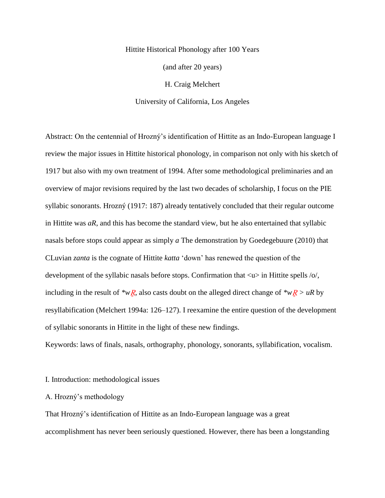# Hittite Historical Phonology after 100 Years (and after 20 years) H. Craig Melchert

University of California, Los Angeles

Abstract: On the centennial of Hrozný's identification of Hittite as an Indo-European language I review the major issues in Hittite historical phonology, in comparison not only with his sketch of 1917 but also with my own treatment of 1994. After some methodological preliminaries and an overview of major revisions required by the last two decades of scholarship, I focus on the PIE syllabic sonorants. Hrozný (1917: 187) already tentatively concluded that their regular outcome in Hittite was *aR*, and this has become the standard view, but he also entertained that syllabic nasals before stops could appear as simply *a* The demonstration by Goedegebuure (2010) that CLuvian *zanta* is the cognate of Hittite *katta* 'down' has renewed the question of the development of the syllabic nasals before stops. Confirmation that  $\langle u \rangle$  in Hittite spells /o/, including in the result of *\*wR*, also casts doubt on the alleged direct change of *\*wR* > *uR* by resyllabification (Melchert 1994a: 126–127). I reexamine the entire question of the development of syllabic sonorants in Hittite in the light of these new findings.

Keywords: laws of finals, nasals, orthography, phonology, sonorants, syllabification, vocalism.

## I. Introduction: methodological issues

## A. Hrozný's methodology

That Hrozný's identification of Hittite as an Indo-European language was a great accomplishment has never been seriously questioned. However, there has been a longstanding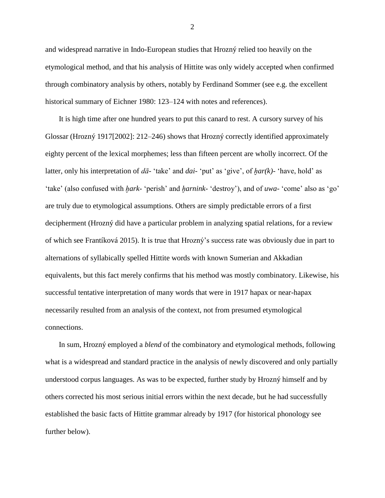and widespread narrative in Indo-European studies that Hrozný relied too heavily on the etymological method, and that his analysis of Hittite was only widely accepted when confirmed through combinatory analysis by others, notably by Ferdinand Sommer (see e.g. the excellent historical summary of Eichner 1980: 123–124 with notes and references).

It is high time after one hundred years to put this canard to rest. A cursory survey of his Glossar (Hrozný 1917[2002]: 212–246) shows that Hrozný correctly identified approximately eighty percent of the lexical morphemes; less than fifteen percent are wholly incorrect. Of the latter, only his interpretation of *dā-* 'take' and *dai-* 'put' as 'give', of *ḫar(k)-* 'have, hold' as 'take' (also confused with *ḫark-* 'perish' and *ḫarnink-* 'destroy'), and of *uwa-* 'come' also as 'go' are truly due to etymological assumptions. Others are simply predictable errors of a first decipherment (Hrozný did have a particular problem in analyzing spatial relations, for a review of which see Frantíková 2015). It is true that Hrozný's success rate was obviously due in part to alternations of syllabically spelled Hittite words with known Sumerian and Akkadian equivalents, but this fact merely confirms that his method was mostly combinatory. Likewise, his successful tentative interpretation of many words that were in 1917 hapax or near-hapax necessarily resulted from an analysis of the context, not from presumed etymological connections.

In sum, Hrozný employed a *blend* of the combinatory and etymological methods, following what is a widespread and standard practice in the analysis of newly discovered and only partially understood corpus languages. As was to be expected, further study by Hrozný himself and by others corrected his most serious initial errors within the next decade, but he had successfully established the basic facts of Hittite grammar already by 1917 (for historical phonology see further below).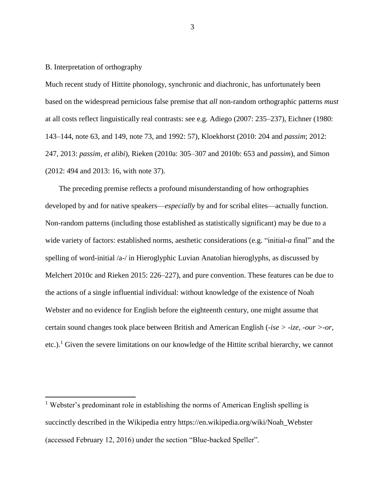B. Interpretation of orthography

 $\overline{a}$ 

Much recent study of Hittite phonology, synchronic and diachronic, has unfortunately been based on the widespread pernicious false premise that *all* non-random orthographic patterns *must* at all costs reflect linguistically real contrasts: see e.g. Adiego (2007: 235–237), Eichner (1980: 143–144, note 63, and 149, note 73, and 1992: 57), Kloekhorst (2010: 204 and *passim*; 2012: 247, 2013: *passim*, *et alibi*), Rieken (2010a: 305–307 and 2010b: 653 and *passim*), and Simon (2012: 494 and 2013: 16, with note 37).

The preceding premise reflects a profound misunderstanding of how orthographies developed by and for native speakers—*especially* by and for scribal elites—actually function. Non-random patterns (including those established as statistically significant) may be due to a wide variety of factors: established norms, aesthetic considerations (e.g. "initial*-a* final" and the spelling of word-initial /a-/ in Hieroglyphic Luvian Anatolian hieroglyphs, as discussed by Melchert 2010c and Rieken 2015: 226–227), and pure convention. These features can be due to the actions of a single influential individual: without knowledge of the existence of Noah Webster and no evidence for English before the eighteenth century, one might assume that certain sound changes took place between British and American English (*-ise > -ize*, *-our >-or*, etc.).<sup>1</sup> Given the severe limitations on our knowledge of the Hittite scribal hierarchy, we cannot

 $<sup>1</sup>$  Webster's predominant role in establishing the norms of American English spelling is</sup> succinctly described in the Wikipedia entry https://en.wikipedia.org/wiki/Noah\_Webster (accessed February 12, 2016) under the section "Blue-backed Speller".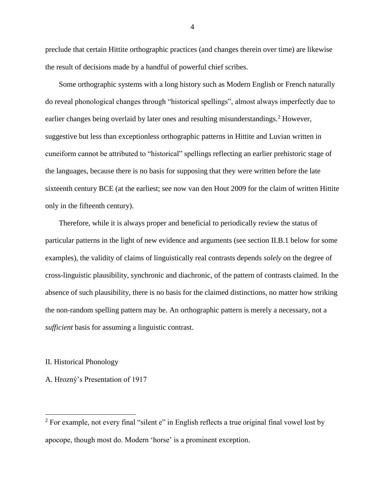preclude that certain Hittite orthographic practices (and changes therein over time) are likewise the result of decisions made by a handful of powerful chief scribes.

Some orthographic systems with a long history such as Modern English or French naturally do reveal phonological changes through "historical spellings", almost always imperfectly due to earlier changes being overlaid by later ones and resulting misunderstandings.<sup>2</sup> However, suggestive but less than exceptionless orthographic patterns in Hittite and Luvian written in cuneiform cannot be attributed to "historical" spellings reflecting an earlier prehistoric stage of the languages, because there is no basis for supposing that they were written before the late sixteenth century BCE (at the earliest; see now van den Hout 2009 for the claim of written Hittite only in the fifteenth century).

Therefore, while it is always proper and beneficial to periodically review the status of particular patterns in the light of new evidence and arguments (see section II.B.1 below for some examples), the validity of claims of linguistically real contrasts depends *solely* on the degree of cross-linguistic plausibility, synchronic and diachronic, of the pattern of contrasts claimed. In the absence of such plausibility, there is no basis for the claimed distinctions, no matter how striking the non-random spelling pattern may be. An orthographic pattern is merely a necessary, not a *sufficient* basis for assuming a linguistic contrast.

II. Historical Phonology

 $\overline{a}$ 

A. Hrozný's Presentation of 1917

 $2$  For example, not every final "silent e" in English reflects a true original final vowel lost by apocope, though most do. Modern 'horse' is a prominent exception.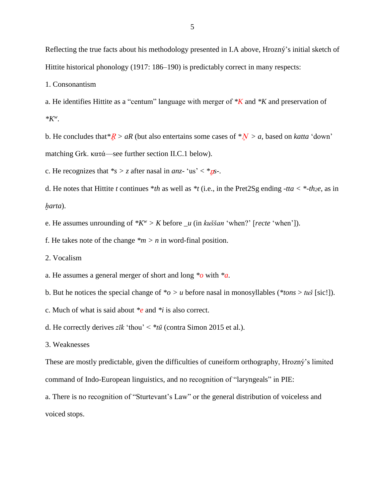Reflecting the true facts about his methodology presented in I.A above, Hrozný's initial sketch of Hittite historical phonology (1917: 186–190) is predictably correct in many respects:

1. Consonantism

a. He identifies Hittite as a "centum" language with merger of *\*K* and *\*K* and preservation of *\*K<sup>w</sup>* .

b. He concludes that  $R > aR$  (but also entertains some cases of  $N > a$ , based on *katta* 'down' matching Grk. κατά—see further section II.C.1 below).

c. He recognizes that  $*_s > z$  after nasal in *anz*- 'us' <  $*_s$ .

d. He notes that Hittite *t* continues \**th* as well as \**t* (i.e., in the Pret2Sg ending *-tta* < \**-th<sub>2</sub>e*, as in *ḫarta*).

e. He assumes unrounding of *\*K<sup>w</sup> > K* before *\_u* (in *kuššan* 'when?' [*recte* 'when']).

f. He takes note of the change  $\frac{m}{n} > n$  in word-final position.

2. Vocalism

a. He assumes a general merger of short and long *\*o* with *\*a*.

b. But he notices the special change of  $\alpha > u$  before nasal in monosyllables ( $\alpha$ tons  $> tu$ š [sic!]).

c. Much of what is said about *\*e* and *\*i* is also correct.

d. He correctly derives *zīk* 'thou' < *\*tū* (contra Simon 2015 et al.).

3. Weaknesses

These are mostly predictable, given the difficulties of cuneiform orthography, Hrozný's limited command of Indo-European linguistics, and no recognition of "laryngeals" in PIE:

a. There is no recognition of "Sturtevant's Law" or the general distribution of voiceless and voiced stops.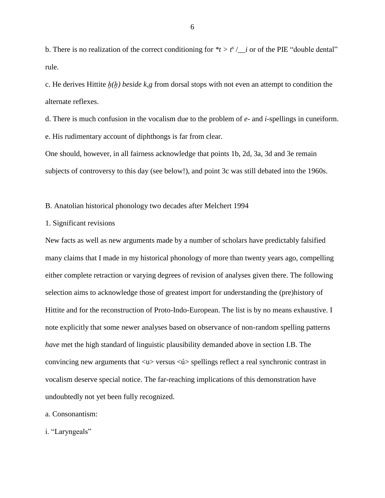b. There is no realization of the correct conditioning for  $*$ *t* >  $t^s$  / *\_i* or of the PIE "double dental" rule.

c. He derives Hittite *ḫ(ḫ) beside k,g* from dorsal stops with not even an attempt to condition the alternate reflexes.

d. There is much confusion in the vocalism due to the problem of *e-* and *i-*spellings in cuneiform. e. His rudimentary account of diphthongs is far from clear.

One should, however, in all fairness acknowledge that points 1b, 2d, 3a, 3d and 3e remain subjects of controversy to this day (see below!), and point 3c was still debated into the 1960s.

B. Anatolian historical phonology two decades after Melchert 1994

1. Significant revisions

New facts as well as new arguments made by a number of scholars have predictably falsified many claims that I made in my historical phonology of more than twenty years ago, compelling either complete retraction or varying degrees of revision of analyses given there. The following selection aims to acknowledge those of greatest import for understanding the (pre)history of Hittite and for the reconstruction of Proto-Indo-European. The list is by no means exhaustive. I note explicitly that some newer analyses based on observance of non-random spelling patterns *have* met the high standard of linguistic plausibility demanded above in section I.B. The convincing new arguments that <u> versus <ú> spellings reflect a real synchronic contrast in vocalism deserve special notice. The far-reaching implications of this demonstration have undoubtedly not yet been fully recognized.

a. Consonantism:

i. "Laryngeals"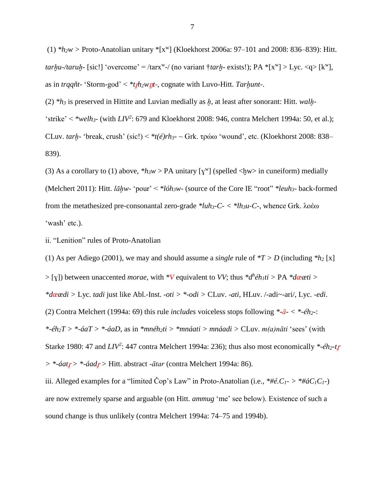$(1)$  *\*h*<sub>2</sub>*w* > Proto-Anatolian unitary <sup>\*</sup>[x<sup>w</sup>] (Kloekhorst 2006a: 97–101 and 2008: 836–839): Hitt.  $tanhu$ -/taruh- [sic!] 'overcome' = /tarx<sup>w</sup>-/ (no variant  $\dagger$ *tarh*- exists!); PA  $*(x^w] > Lyc. \langle q \rangle$  [k<sup>w</sup>], as in *trqqñt*- 'Storm-god' <  $*$ *t<sub>I</sub>h*<sub>2</sub>*w nt*-, cognate with Luvo-Hitt. *Tarhunt*-.

(2) *\*h<sup>3</sup>* is preserved in Hittite and Luvian medially as *ḫ*, at least after sonorant: Hitt. *walḫ-* 'strike' < \*welh<sub>3</sub><sup>2</sup> (with  $LIV^2$ : 679 and Kloekhorst 2008: 946, contra Melchert 1994a: 50, et al.); CLuv. *tarḫ-* 'break, crush' (sic!) < *\*t(é)rh3-* ~ Grk. τρώω 'wound', etc. (Kloekhorst 2008: 838– 839).

(3) As a corollary to (1) above,  $*h_3w > PA$  unitary [ $\gamma^w$ ] (spelled <hw> in cuneiform) medially (Melchert 2011): Hitt. *lāḫw-* 'pour' < *\*lóh3w-* (source of the Core IE "root" *\*leuh3-* back-formed from the metathesized pre-consonantal zero-grade *\*luh3-C- < \*lh3u-C-*, whence Grk. λoέω 'wash' etc.).

ii. "Lenition" rules of Proto-Anatolian

(1) As per Adiego (2001), we may and should assume a *single* rule of  $*T > D$  (including  $*h_2$  [x]  $>$  [ $\chi$ ]) between unaccented *morae*, with  $*V$  equivalent to *VV*; thus  $*d^h \hat{e} h_1 t$   $>$  PA  $* d$ *eati*  $>$ *\*dæædi >* Lyc. *tadi* just like Abl.-Inst. *-oti > \*-odi >* CLuv. *-ati*, HLuv. /-adi~-ari/, Lyc. *-edi*. (2) Contra Melchert (1994a: 69) this rule *includes* voiceless stops following *\*-ā- < \*-éh2-*: *\*-éh2T > \*-áaT > \*-áaD*, as in *\*mnéh2ti > \*mnáati > mnáadi >* CLuv. *m(a)nāti* 'sees' (with Starke 1980: 47 and *LIV<sup>2</sup>* : 447 contra Melchert 1994a: 236); thus also most economically *\*-éh2-t > \*-áat > \*-áad >* Hitt. abstract -*ātar* (contra Melchert 1994a: 86).

iii. Alleged examples for a "limited Cop's Law" in Proto-Anatolian (i.e.,  $* \#e$ . $C_1$ - $> * \#aC_1C_1$ -) are now extremely sparse and arguable (on Hitt. *ammug* 'me' see below). Existence of such a sound change is thus unlikely (contra Melchert 1994a: 74–75 and 1994b).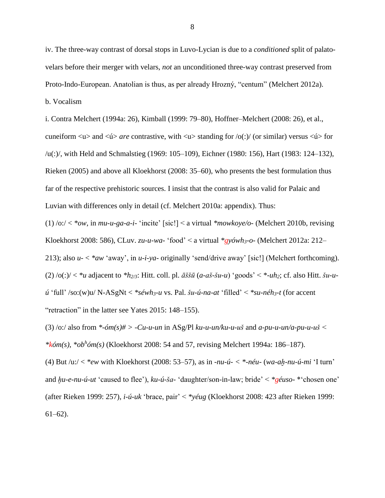iv. The three-way contrast of dorsal stops in Luvo-Lycian is due to a *conditioned* split of palatovelars before their merger with velars, *not* an unconditioned three-way contrast preserved from Proto-Indo-European. Anatolian is thus, as per already Hrozný, "centum" (Melchert 2012a).

b. Vocalism

i. Contra Melchert (1994a: 26), Kimball (1999: 79–80), Hoffner–Melchert (2008: 26), et al., cuneiform  $\langle u \rangle$  and  $\langle u \rangle$  *are* contrastive, with  $\langle u \rangle$  standing for /o(:)/ (or similar) versus  $\langle u \rangle$  for /u(:)/, with Held and Schmalstieg (1969: 105–109), Eichner (1980: 156), Hart (1983: 124–132), Rieken (2005) and above all Kloekhorst (2008: 35–60), who presents the best formulation thus far of the respective prehistoric sources. I insist that the contrast is also valid for Palaic and Luvian with differences only in detail (cf. Melchert 2010a: appendix). Thus:

(1) /o:/ < *\*ow*, in *mu-u-ga-a-i-* 'incite' [sic!] < a virtual *\*mowkoye/o-* (Melchert 2010b, revising Kloekhorst 2008: 586), CLuv. *zu-u-wa-* 'food' < a virtual *\*gyówh3-o-* (Melchert 2012a: 212–

213); also *u-* < *\*aw* 'away', in *u-i-ya-* originally 'send/drive away' [sic!] (Melchert forthcoming). (2) /o(:)/ < *\*u* adjacent to *\*h2/3*: Hitt. coll. pl. *āššū* (*a-aš-šu-u*) 'goods' < *\*-uh2*; cf. also Hitt. *šu-uú* 'full' /so:(w)u/ N-ASgNt < *\*séwh3-u* vs. Pal. *šu-ú-na-at* 'filled' < *\*su-néh3-t* (for accent "retraction" in the latter see Yates 2015: 148–155).

(3) /o:/ also from *\*-óm(s)# > -Cu-u-un* in ASg/Pl *ku-u-un/ku-u-uš* and *a-pu-u-un/a-pu-u-uš < \*kóm(s)*, *\*ob<sup>h</sup> óm(s)* (Kloekhorst 2008: 54 and 57, revising Melchert 1994a: 186–187).

(4) But /u:/ < *\*ew* with Kloekhorst (2008: 53–57), as in *-nu-ú- < \*-néu-* (*wa-aḫ-nu-ú-mi* 'I turn' and *ḫu-e-nu-ú-ut* 'caused to flee'), *ku-ú-ša-* 'daughter/son-in-law; bride' < *\*géuso-* \*'chosen one' (after Rieken 1999: 257), *i-ú-uk* 'brace, pair' < *\*yéug* (Kloekhorst 2008: 423 after Rieken 1999: 61–62).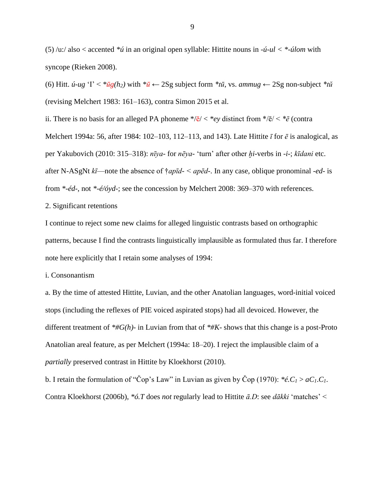(5) /u:/ also < accented *\*ú* in an original open syllable: Hittite nouns in *-ú-ul < \*-úlom* with syncope (Rieken 2008).

(6) Hitt. *ú-ug*  $Y \leq * \bar{u}g(h_2)$  with  $*\bar{u} \leftarrow 2Sg$  subject form  $* t\bar{u}$ , vs. *ammug*  $\leftarrow 2Sg$  non-subject  $* t\bar{u}$ (revising Melchert 1983: 161–163), contra Simon 2015 et al.

ii. There is no basis for an alleged PA phoneme  $\sqrt{e}$  <  $\sqrt{e}$  ey distinct from  $\sqrt{e}$  <  $\sqrt{e}$  (contra Melchert 1994a: 56, after 1984: 102–103, 112–113, and 143). Late Hittite *ī* for *ē* is analogical, as per Yakubovich (2010: 315–318): *nīya-* for *nēya-* 'turn' after other *ḫi-*verbs in *-i-*; *kīdani* etc. after N-ASgNt *kī*—note the absence of †*apīd- < apēd-*. In any case, oblique pronominal *-ed-* is from *\*-éd-*, not *\*-é/óyd-*; see the concession by Melchert 2008: 369–370 with references.

## 2. Significant retentions

I continue to reject some new claims for alleged linguistic contrasts based on orthographic patterns, because I find the contrasts linguistically implausible as formulated thus far. I therefore note here explicitly that I retain some analyses of 1994:

i. Consonantism

a. By the time of attested Hittite, Luvian, and the other Anatolian languages, word-initial voiced stops (including the reflexes of PIE voiced aspirated stops) had all devoiced. However, the different treatment of *\*#G(h)-* in Luvian from that of *\*#K-* shows that this change is a post-Proto Anatolian areal feature, as per Melchert (1994a: 18–20). I reject the implausible claim of a *partially* preserved contrast in Hittite by Kloekhorst (2010).

b. I retain the formulation of "Cop's Law" in Luvian as given by Cop (1970):  $*e.C<sub>1</sub> > aC<sub>1</sub>.C<sub>1</sub>$ . Contra Kloekhorst (2006b), *\*ó.T* does *not* regularly lead to Hittite *ā.D*: see *dākki* 'matches' <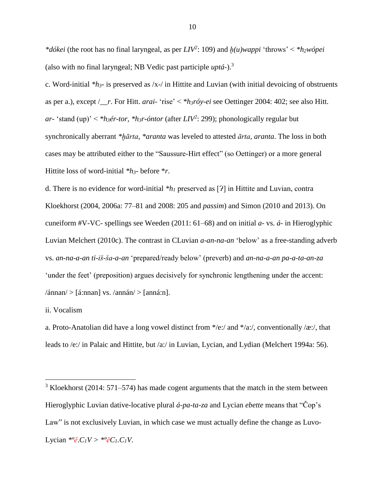*\*dókei* (the root has no final laryngeal, as per *LIV<sup>2</sup>* : 109) and *ḫ(u)wappi* 'throws' < *\*h2wópei*  (also with no final laryngeal; NB Vedic past participle *uptá-*).<sup>3</sup>

c. Word-initial *\*h3-* is preserved as /x-/ in Hittite and Luvian (with initial devoicing of obstruents as per a.), except /\_\_*r*. For Hitt. *arai-* 'rise' < *\*h3róy-ei* see Oettinger 2004: 402; see also Hitt. *ar-* 'stand (up)' < *\*h3ér-tor*, *\*h3r-óntor* (after *LIV<sup>2</sup>* : 299); phonologically regular but synchronically aberrant *\*ḫārta*, *\*aranta* was leveled to attested *ārta*, *aranta*. The loss in both cases may be attributed either to the "Saussure-Hirt effect" (so Oettinger) or a more general Hittite loss of word-initial *\*h3-* before \**r*.

d. There is no evidence for word-initial  $*h_1$  preserved as [ $?$ ] in Hittite and Luvian, contra Kloekhorst (2004, 2006a: 77–81 and 2008: 205 and *passim*) and Simon (2010 and 2013). On cuneiform #V-VC- spellings see Weeden (2011: 61–68) and on initial *a-* vs. *á-* in Hieroglyphic Luvian Melchert (2010c). The contrast in CLuvian *a-an-na-an* 'below' as a free-standing adverb vs. *an-na-a-an ti-iš-ša-a-an* 'prepared/ready below' (preverb) and *an-na-a-an pa-a-ta-an-za*  'under the feet' (preposition) argues decisively for synchronic lengthening under the accent:  $\langle \hat{\text{ann}} \rangle > [\hat{\text{a}} \cdot \text{nnan}]$  vs.  $\langle \text{annán} \rangle > [\text{anná:} n]$ .

ii. Vocalism

 $\overline{a}$ 

a. Proto-Anatolian did have a long vowel distinct from  $*$ /e:/ and  $*$ /a:/, conventionally /æ:/, that leads to /e:/ in Palaic and Hittite, but /a:/ in Luvian, Lycian, and Lydian (Melchert 1994a: 56).

 $3$  Kloekhorst (2014: 571–574) has made cogent arguments that the match in the stem between Hieroglyphic Luvian dative-locative plural *á-pa-ta-za* and Lycian *ebette* means that "Čop's Law" is not exclusively Luvian, in which case we must actually define the change as Luvo-Lycian  $*^{\circ}e$ *.C<sub>1</sub>V* >  $*^{\circ}e$ *C<sub>1</sub>.C<sub>1</sub>V*.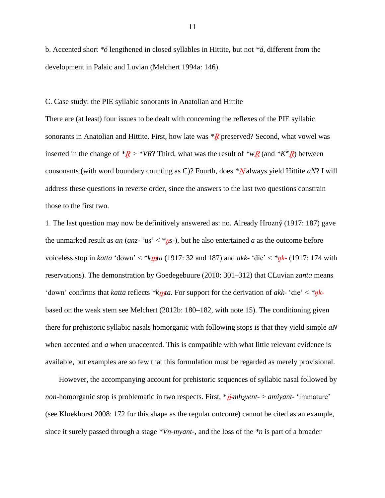b. Accented short *\*ó* lengthened in closed syllables in Hittite, but not *\*á*, different from the development in Palaic and Luvian (Melchert 1994a: 146).

## C. Case study: the PIE syllabic sonorants in Anatolian and Hittite

There are (at least) four issues to be dealt with concerning the reflexes of the PIE syllabic sonorants in Anatolian and Hittite. First, how late was  $*R$  preserved? Second, what vowel was inserted in the change of  $*R > *VR$ ? Third, what was the result of  $*_{W}R$  (and  $*K^{w}R$ ) between consonants (with word boundary counting as C)? Fourth, does \*Nalways yield Hittite *aN*? I will address these questions in reverse order, since the answers to the last two questions constrain those to the first two.

1. The last question may now be definitively answered as: no. Already Hrozný (1917: 187) gave the unmarked result as *an* (*anz*- 'us' < \**ns*-), but he also entertained *a* as the outcome before voiceless stop in *katta* 'down' < *\*k ta* (1917: 32 and 187) and *akk-* 'die' < *\*ŋk-* (1917: 174 with reservations). The demonstration by Goedegebuure (2010: 301–312) that CLuvian *zanta* means 'down' confirms that *katta* reflects \**kn*ta. For support for the derivation of *akk*- 'die' < \**nk*based on the weak stem see Melchert (2012b: 180–182, with note 15). The conditioning given there for prehistoric syllabic nasals homorganic with following stops is that they yield simple *aN*  when accented and *a* when unaccented. This is compatible with what little relevant evidence is available, but examples are so few that this formulation must be regarded as merely provisional.

However, the accompanying account for prehistoric sequences of syllabic nasal followed by *non*-homorganic stop is problematic in two respects. First, \**p-mh<sub>2</sub>yent-* > *amiyant-* 'immature' (see Kloekhorst 2008: 172 for this shape as the regular outcome) cannot be cited as an example, since it surely passed through a stage *\*Vn-myant-*, and the loss of the *\*n* is part of a broader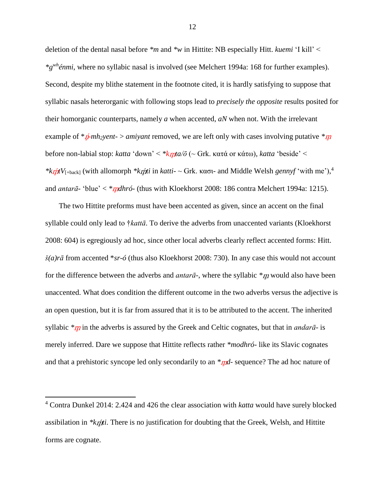deletion of the dental nasal before *\*m* and *\*w* in Hittite: NB especially Hitt. *kuemi* 'I kill' < *\*gwhénmi*, where no syllabic nasal is involved (see Melchert 1994a: 168 for further examples). Second, despite my blithe statement in the footnote cited, it is hardly satisfying to suppose that syllabic nasals heterorganic with following stops lead to *precisely the opposite* results posited for their homorganic counterparts, namely *a* when accented, *aN* when not. With the irrelevant example of  $*\hat{\mu}$ -*mh*<sub>2</sub>*yent-* > *amiyant* removed, we are left only with cases involving putative  $*\mu$ before non-labial stop: *katta* 'down' < *\*k ta/ō* (~ Grk. κατά or κάτω), *katta* 'beside' < *\*ktjttV*<sub>[+back]</sub> (with allomorph *\*ktjtti* in *katti*- ~ Grk. κασι- and Middle Welsh *gennyf* 'with me'),<sup>4</sup> and *antarā*- 'blue'  $\langle * \eta \eta \frac{d}{d} \eta$  (thus with Kloekhorst 2008: 186 contra Melchert 1994a: 1215).

The two Hittite preforms must have been accented as given, since an accent on the final syllable could only lead to †*kattā*. To derive the adverbs from unaccented variants (Kloekhorst 2008: 604) is egregiously ad hoc, since other local adverbs clearly reflect accented forms: Hitt. *š(a)rā* from accented \**sr-ó* (thus also Kloekhorst 2008: 730). In any case this would not account for the difference between the adverbs and *antarā*-, where the syllabic *\*m* would also have been unaccented. What does condition the different outcome in the two adverbs versus the adjective is an open question, but it is far from assured that it is to be attributed to the accent. The inherited syllabic  $*\eta$  in the adverbs is assured by the Greek and Celtic cognates, but that in *andara*- is merely inferred. Dare we suppose that Hittite reflects rather *\*modhró-* like its Slavic cognates and that a prehistoric syncope led only secondarily to an *\*md*- sequence? The ad hoc nature of

<sup>4</sup> Contra Dunkel 2014: 2.424 and 426 the clear association with *katta* would have surely blocked assibilation in *\*k ti*. There is no justification for doubting that the Greek, Welsh, and Hittite forms are cognate.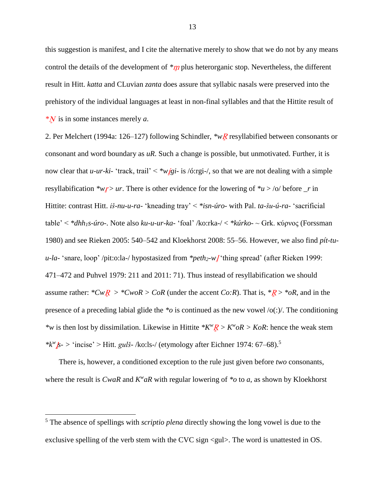this suggestion is manifest, and I cite the alternative merely to show that we do not by any means control the details of the development of  $*\eta$  plus heterorganic stop. Nevertheless, the different result in Hitt. *katta* and CLuvian *zanta* does assure that syllabic nasals were preserved into the prehistory of the individual languages at least in non-final syllables and that the Hittite result of *\** is in some instances merely *a*.

2. Per Melchert (1994a: 126–127) following Schindler, *\*wR* resyllabified between consonants or consonant and word boundary as *uR*. Such a change is possible, but unmotivated. Further, it is now clear that *u-ur-ki-* 'track, trail'  $\lt^* w \tilde{g}$ *i-* is /ó:rgi-/, so that we are not dealing with a simple resyllabification  $*\omega r > ur$ . There is other evidence for the lowering of  $*\omega > \omega$  before *r* in Hittite: contrast Hitt. *iš-nu-u-ra-* 'kneading tray' < *\*isn-úro-* with Pal. *ta-šu-ú-ra-* 'sacrificial table' < *\*dhh1s-úro-*. Note also *ku-u-ur-ka-* 'foal' /ko:rka-/ < *\*kúrko-* ~ Grk. κύρνος (Forssman 1980) and see Rieken 2005: 540–542 and Kloekhorst 2008: 55–56. However, we also find *pít-tuu-la-* 'snare, loop' /pit:o:la-/ hypostasized from *\*peth2-w* 'thing spread' (after Rieken 1999: 471–472 and Puhvel 1979: 211 and 2011: 71). Thus instead of resyllabification we should assume rather:  $*CwR > *CwoR > CoR$  (under the accent *Co:R*). That is,  $*R > *oR$ , and in the presence of a preceding labial glide the *\*o* is continued as the new vowel /o(:)/. The conditioning *\*w* is then lost by dissimilation. Likewise in Hittite  $*K^wR > K^w \circ R > K \circ R$ : hence the weak stem *\*k<sup>w</sup> s- >* 'incise' > Hitt. *gulš-* /ko:ls-/ (etymology after Eichner 1974: 67–68).<sup>5</sup>

There is, however, a conditioned exception to the rule just given before *two* consonants, where the result is *CwaR* and  $K^{\nu}aR$  with regular lowering of  $*$ *o* to *a*, as shown by Kloekhorst

<sup>5</sup> The absence of spellings with *scriptio plena* directly showing the long vowel is due to the exclusive spelling of the verb stem with the CVC sign <gul>. The word is unattested in OS.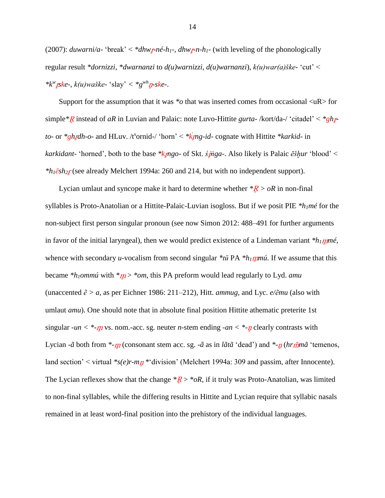(2007): *duwarni/a-* 'break' < \**dhw<sub>I</sub>*-*né-h<sub>1</sub>*-, *dhw<sub>I</sub>*-*n-h<sub>1</sub>*- (with leveling of the phonologically regular result *\*dornizzi*, *\*dwarnanzi* to *d(u)warnizzi*, *d(u)warnanzi*), *k(u)war(a)ške-* 'cut' <  $* k<sup>w</sup>$ *jske-*,  $k(u)$ waške- 'slay' <  $* g<sup>wh</sup>$ *p-ske-***.** 

Support for the assumption that it was *\*o* that was inserted comes from occasional <uR> for simple *\*R* instead of *aR* in Luvian and Palaic: note Luvo-Hittite *gurta-* /kort/da-/ 'citadel' < *\*ghp to*- or *\*gh<sub>k</sub>dh-o-* and HLuv. /t<sup>s</sup>ornid-/ 'horn' < *\*k<sub>k</sub>mg-id-* cognate with Hittite *\*karkid-* in *karkidant-* 'horned', both to the base *\*k ngo-* of Skt. *ś ṅga-*. Also likely is Palaic *ēšḫur* 'blood' < *\*h1ēsh<sup>2</sup>* (see already Melchert 1994a: 260 and 214, but with no independent support).

Lycian umlaut and syncope make it hard to determine whether  $*R > 0R$  in non-final syllables is Proto-Anatolian or a Hittite-Palaic-Luvian isogloss. But if we posit PIE *\*h1mé* for the non-subject first person singular pronoun (see now Simon 2012: 488–491 for further arguments in favor of the initial laryngeal), then we would predict existence of a Lindeman variant *\*h<sup>1</sup> mé*, whence with secondary *u-*vocalism from second singular *\*tŭ* PA *\*h<sup>1</sup> mú*. If we assume that this became *\*h1ommú* with *\** > *\*om*, this PA preform would lead regularly to Lyd. *amu*  (unaccented *ẽ > a*, as per Eichner 1986: 211–212), Hitt. *ammug*, and Lyc. *e/ẽmu* (also with umlaut *amu*). One should note that in absolute final position Hittite athematic preterite 1st singular *-un* < \*- $\eta$  vs. nom.-acc. sg. neuter *n*-stem ending *-an* < \*- $\eta$  clearly contrasts with Lycian *-ã* both from \*-*m* (consonant stem acc. sg. *-ã* as in *lãtã* 'dead') and \*-*n* (*hrmma* 'temenos, land section' < virtual \*s(e)r-mn \* division' (Melchert 1994a: 309 and passim, after Innocente). The Lycian reflexes show that the change  $*R > *oR$ , if it truly was Proto-Anatolian, was limited to non-final syllables, while the differing results in Hittite and Lycian require that syllabic nasals remained in at least word-final position into the prehistory of the individual languages.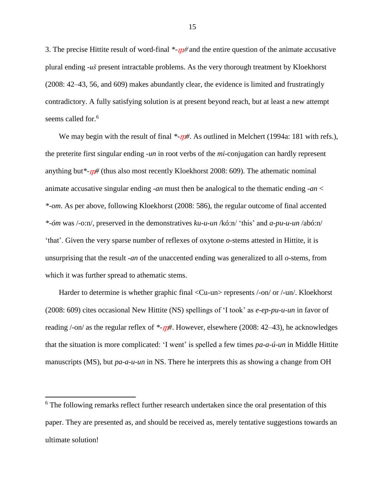3. The precise Hittite result of word-final  $\frac{m}{4}$  and the entire question of the animate accusative plural ending *-uš* present intractable problems. As the very thorough treatment by Kloekhorst (2008: 42–43, 56, and 609) makes abundantly clear, the evidence is limited and frustratingly contradictory. A fully satisfying solution is at present beyond reach, but at least a new attempt seems called for.<sup>6</sup>

We may begin with the result of final  $\frac{F - m}{L}$ . As outlined in Melchert (1994a: 181 with refs.), the preterite first singular ending *-un* in root verbs of the *mi-*conjugation can hardly represent anything but<sup>\*</sup>- $n#$  (thus also most recently Kloekhorst 2008: 609). The athematic nominal animate accusative singular ending *-an* must then be analogical to the thematic ending *-an* < *\*-om*. As per above, following Kloekhorst (2008: 586), the regular outcome of final accented *\*-óm* was /-o:n/, preserved in the demonstratives *ku-u-un* /kó:n/ 'this' and *a-pu-u-un* /abó:n/ 'that'. Given the very sparse number of reflexes of oxytone *o-*stems attested in Hittite, it is unsurprising that the result *-an* of the unaccented ending was generalized to all *o-*stems, from which it was further spread to athematic stems.

Harder to determine is whether graphic final <Cu-un> represents /-on/ or /-un/. Kloekhorst (2008: 609) cites occasional New Hittite (NS) spellings of 'I took' as *e-ep-pu-u-un* in favor of reading /-on/ as the regular reflex of  $\ast$ - $\eta$  *#*. However, elsewhere (2008: 42–43), he acknowledges that the situation is more complicated: 'I went' is spelled a few times *pa-a-ú-un* in Middle Hittite manuscripts (MS), but *pa-a-u-un* in NS. There he interprets this as showing a change from OH

<sup>&</sup>lt;sup>6</sup> The following remarks reflect further research undertaken since the oral presentation of this paper. They are presented as, and should be received as, merely tentative suggestions towards an ultimate solution!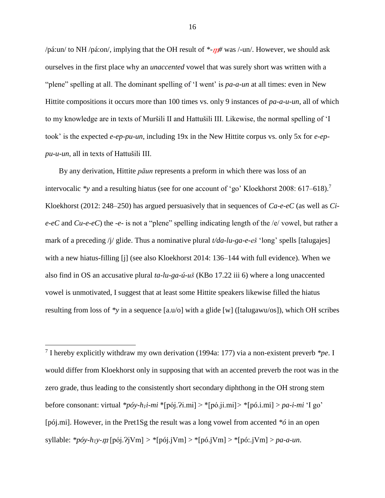/pá:un/ to NH /pá:on/, implying that the OH result of  $\ast$ - $m#$  was /-un/. However, we should ask ourselves in the first place why an *unaccented* vowel that was surely short was written with a "plene" spelling at all. The dominant spelling of 'I went' is *pa-a-un* at all times: even in New Hittite compositions it occurs more than 100 times vs. only 9 instances of *pa-a-u-un*, all of which to my knowledge are in texts of Muršili II and Hattušili III. Likewise, the normal spelling of 'I took' is the expected *e-ep-pu-un*, including 19x in the New Hittite corpus vs. only 5x for *e-eppu-u-un*, all in texts of Hattušili III.

By any derivation, Hittite *pāun* represents a preform in which there was loss of an intervocalic *\*y* and a resulting hiatus (see for one account of 'go' Kloekhorst 2008: 617–618). 7 Kloekhorst (2012: 248–250) has argued persuasively that in sequences of *Ca-e-eC* (as well as *Cie-eC* and *Cu-e-eC*) the *-e-* is not a "plene" spelling indicating length of the /e/ vowel, but rather a mark of a preceding /j/ glide. Thus a nominative plural *t/da-lu-ga-e-eš* 'long' spells [talugajes] with a new hiatus-filling [j] (see also Kloekhorst 2014: 136–144 with full evidence). When we also find in OS an accusative plural *ta-lu-ga-ú-uš* (KBo 17.22 iii 6) where a long unaccented vowel is unmotivated, I suggest that at least some Hittite speakers likewise filled the hiatus resulting from loss of *\*y* in a sequence [a.u/o] with a glide [w] ([talugawu/os]), which OH scribes

7 I hereby explicitly withdraw my own derivation (1994a: 177) via a non-existent preverb *\*pe*. I would differ from Kloekhorst only in supposing that with an accented preverb the root was in the zero grade, thus leading to the consistently short secondary diphthong in the OH strong stem before consonant: virtual *\*póy-h1i-mi* \*[pój.Ɂi.mi] > \*[pó.ji.mi]*>* \*[pó.i.mi] > *pa-i-mi* 'I go' [pój.mi]. However, in the Pret1Sg the result was a long vowel from accented *\*ó* in an open syllable:  $*_{p}óy-h_1y-m$  [pój.?jVm] >  $*$ [pój.jVm] >  $*$ [pó.jVm] >  $*$ [pó:.jVm] > *pa-a-un*.

 $\overline{a}$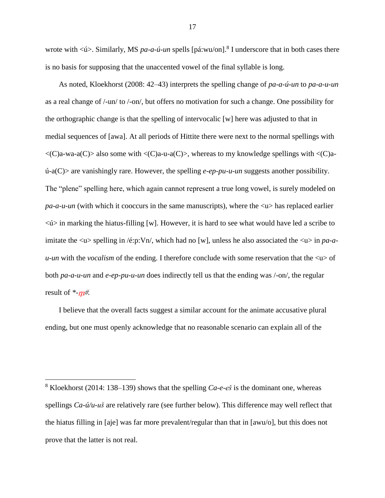wrote with  $\langle \psi \rangle$ . Similarly, MS *pa-a-ú-un* spells [pá:wu/on].<sup>8</sup> I underscore that in both cases there is no basis for supposing that the unaccented vowel of the final syllable is long.

As noted, Kloekhorst (2008: 42–43) interprets the spelling change of *pa-a-ú-un* to *pa-a-u-un*  as a real change of /-un/ to /-on/, but offers no motivation for such a change. One possibility for the orthographic change is that the spelling of intervocalic [w] here was adjusted to that in medial sequences of [awa]. At all periods of Hittite there were next to the normal spellings with  $\langle C\rangle$ a-wa-a $\langle C\rangle$  also some with  $\langle C\rangle$ a-u-a $\langle C\rangle$ , whereas to my knowledge spellings with  $\langle C\rangle$ aú-a(C)> are vanishingly rare. However, the spelling *e-ep-pu-u-un* suggests another possibility. The "plene" spelling here, which again cannot represent a true long vowel, is surely modeled on  $pa-a-u-un$  (with which it cooccurs in the same manuscripts), where the  $\langle u \rangle$  has replaced earlier  $\langle \psi \rangle$  in marking the hiatus-filling [w]. However, it is hard to see what would have led a scribe to imitate the  $\langle u \rangle$  spelling in /é:p:Vn/, which had no [w], unless he also associated the  $\langle u \rangle$  in *pa-au-un*</u> with the *vocalism* of the ending. I therefore conclude with some reservation that the  $\langle u \rangle$  of both *pa-a-u-un* and *e-ep-pu-u-un* does indirectly tell us that the ending was /-on/, the regular result of  $\frac{m}{2}$ .

I believe that the overall facts suggest a similar account for the animate accusative plural ending, but one must openly acknowledge that no reasonable scenario can explain all of the

 $8$  Kloekhorst (2014: 138–139) shows that the spelling *Ca-e-eš* is the dominant one, whereas spellings *Ca-ú/u-uš* are relatively rare (see further below). This difference may well reflect that the hiatus filling in [aje] was far more prevalent/regular than that in [awu/o], but this does not prove that the latter is not real.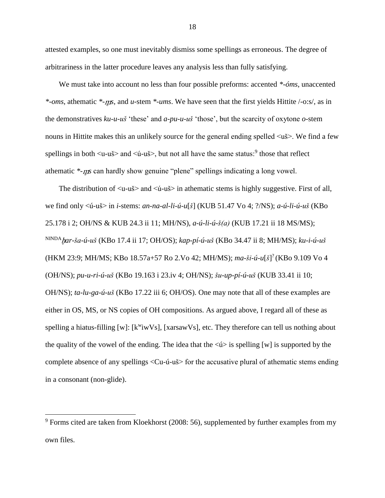attested examples, so one must inevitably dismiss some spellings as erroneous. The degree of arbitrariness in the latter procedure leaves any analysis less than fully satisfying.

We must take into account no less than four possible preforms: accented *\*-óms*, unaccented *\*-oms*, athematic *\*- s*, and *u-*stem *\*-ums*. We have seen that the first yields Hittite /-o:s/, as in the demonstratives *ku-u-uš* 'these' and *a-pu-u-uš* 'those', but the scarcity of oxytone *o-*stem nouns in Hittite makes this an unlikely source for the general ending spelled <uš>. We find a few spellings in both  $\langle u-u \rangle$  and  $\langle u-u \rangle$ , but not all have the same status:  $\delta$  those that reflect athematic *\*-ns* can hardly show genuine "plene" spellings indicating a long vowel.

The distribution of  $\langle u-u \rangle >$  and  $\langle u-u \rangle >$  in athematic stems is highly suggestive. First of all, we find only <ú-uš> in *i-*stems: *an-na-al-li-ú-u*[*š*] (KUB 51.47 Vo 4; ?/NS); *a-ú-li-ú-uš* (KBo 25.178 i 2; OH/NS & KUB 24.3 ii 11; MH/NS), *a-ú-li-ú-š(a)* (KUB 17.21 ii 18 MS/MS); NINDAḫ*ar-ša-ú-uš* (KBo 17.4 ii 17; OH/OS); *kap-pí-ú-uš* (KBo 34.47 ii 8; MH/MS); *ku-i-ú-uš*  (HKM 23:9; MH/MS; KBo 18.57a+57 Ro 2.Vo 42; MH/MS); *ma-ši-ú-u*[*š*] ? (KBo 9.109 Vo 4 (OH/NS); *pu-u-ri-ú-uš* (KBo 19.163 i 23.iv 4; OH/NS); *šu-up-pí-ú-uš* (KUB 33.41 ii 10; OH/NS); *ta-lu-ga-ú-uš* (KBo 17.22 iii 6; OH/OS). One may note that all of these examples are either in OS, MS, or NS copies of OH compositions. As argued above, I regard all of these as spelling a hiatus-filling [w]:  $[k^w i wVs]$ , [xarsawVs], etc. They therefore can tell us nothing about the quality of the vowel of the ending. The idea that the  $\langle \psi \rangle$  is spelling [w] is supported by the complete absence of any spellings <Cu-ú-uš> for the accusative plural of athematic stems ending in a consonant (non-glide).

 $9$  Forms cited are taken from Kloekhorst (2008: 56), supplemented by further examples from my own files.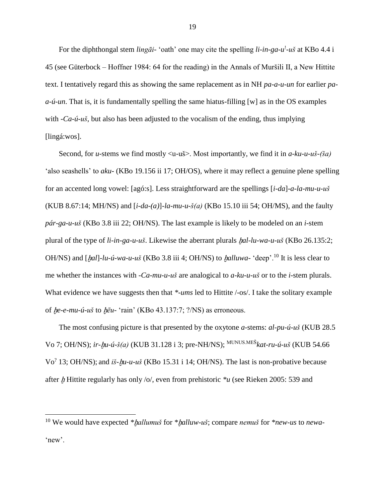For the diphthongal stem *lingāi* - 'oath' one may cite the spelling *li-in-ga-u*<sup>1</sup>-uš at KBo 4.4 i 45 (see Güterbock – Hoffner 1984: 64 for the reading) in the Annals of Muršili II, a New Hittite text. I tentatively regard this as showing the same replacement as in NH *pa-a-u-un* for earlier *paa-ú-un*. That is, it is fundamentally spelling the same hiatus-filling [w] as in the OS examples with *-Ca-ú-uš*, but also has been adjusted to the vocalism of the ending, thus implying [lingá:wos].

Second, for *u-*stems we find mostly <u-uš>. Most importantly, we find it in *a-ku-u-uš-(ša)*  'also seashells' to *aku-* (KBo 19.156 ii 17; OH/OS), where it may reflect a genuine plene spelling for an accented long vowel: [agó:s]. Less straightforward are the spellings [*i-da*]*-a-la-mu-u-uš*  (KUB 8.67:14; MH/NS) and [*i-da-(a)*]*-la-mu-u-š(a)* (KBo 15.10 iii 54; OH/MS), and the faulty *pár-ga-u-uš* (KBo 3.8 iii 22; OH/NS). The last example is likely to be modeled on an *i-*stem plural of the type of *li-in-ga-u-uš*. Likewise the aberrant plurals ḫ*al-lu-wa-u-uš* (KBo 26.135:2; OH/NS) and  $[ha]$ *-lu-ú-wa-u-uš* (KBo 3.8 iii 4; OH/NS) to *halluwa-* 'deep'.<sup>10</sup> It is less clear to me whether the instances with *-Ca-mu-u-uš* are analogical to *a-ku-u-uš* or to the *i-*stem plurals. What evidence we have suggests then that *\*-ums* led to Hittite  $/$ -os $/$ . I take the solitary example of ḫ*e-e-mu-ú-uš* to ḫ*ēu-* 'rain' (KBo 43.137:7; ?/NS) as erroneous.

The most confusing picture is that presented by the oxytone *a-*stems: *al-pu-ú-uš* (KUB 28.5 Vo 7; OH/NS); *ir-*ḫ*u-ú-š(a)* (KUB 31.128 i 3; pre-NH/NS); MUNUS.MEŠ*kat-ru-ú-uš* (KUB 54.66 Vo? 13; OH/NS); and *iš-*ḫ*u-u-uš* (KBo 15.31 i 14; OH/NS). The last is non-probative because after *h* Hittite regularly has only /o/, even from prehistoric  $*u$  (see Rieken 2005: 539 and

<sup>10</sup> We would have expected *\**ḫ*allumuš* for *\**ḫ*alluw-uš*; compare *nemuš* for *\*new-us* to *newa-* 'new'.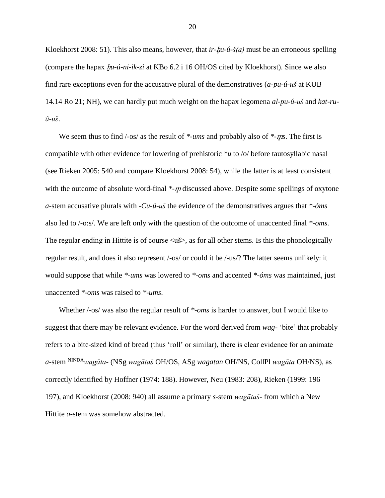Kloekhorst 2008: 51). This also means, however, that *ir-hu-ú-š(a)* must be an erroneous spelling (compare the hapax ḫ*u-ú-ni-ik-zi* at KBo 6.2 i 16 OH/OS cited by Kloekhorst). Since we also find rare exceptions even for the accusative plural of the demonstratives (*a-pu-ú-uš* at KUB 14.14 Ro 21; NH), we can hardly put much weight on the hapax legomena *al-pu-ú-uš* and *kat-ruú-uš*.

We seem thus to find  $\frac{1}{\cos \theta}$  as the result of *\*-ums* and probably also of *\*-ns*. The first is compatible with other evidence for lowering of prehistoric *\*u* to /o/ before tautosyllabic nasal (see Rieken 2005: 540 and compare Kloekhorst 2008: 54), while the latter is at least consistent with the outcome of absolute word-final *\*-m* discussed above. Despite some spellings of oxytone *a-*stem accusative plurals with *-Cu-ú-uš* the evidence of the demonstratives argues that *\*-óms*  also led to /-o:s/. We are left only with the question of the outcome of unaccented final *\*-oms*. The regular ending in Hittite is of course  $\langle u \rangle$ , as for all other stems. Is this the phonologically regular result, and does it also represent /-os/ or could it be /-us/? The latter seems unlikely: it would suppose that while *\*-ums* was lowered to *\*-oms* and accented *\*-óms* was maintained, just unaccented *\*-oms* was raised to *\*-ums*.

Whether /-os/ was also the regular result of *\*-oms* is harder to answer, but I would like to suggest that there may be relevant evidence. For the word derived from *wag-* 'bite' that probably refers to a bite-sized kind of bread (thus 'roll' or similar), there is clear evidence for an animate *a-*stem NINDA*wagāta-* (NSg *wagātaš* OH/OS, ASg *wagatan* OH/NS, CollPl *wagāta* OH/NS), as correctly identified by Hoffner (1974: 188). However, Neu (1983: 208), Rieken (1999: 196– 197), and Kloekhorst (2008: 940) all assume a primary *s-*stem *wagātaš-* from which a New Hittite *a-*stem was somehow abstracted.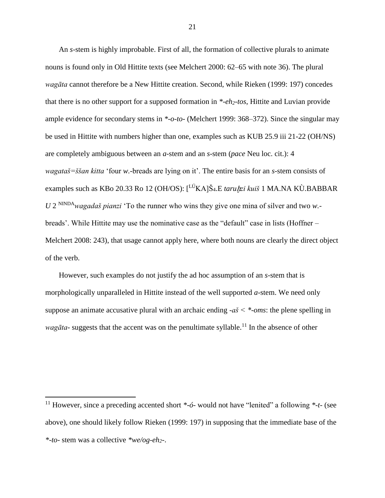An *s-*stem is highly improbable. First of all, the formation of collective plurals to animate nouns is found only in Old Hittite texts (see Melchert 2000: 62–65 with note 36). The plural *wagāta* cannot therefore be a New Hittite creation. Second, while Rieken (1999: 197) concedes that there is no other support for a supposed formation in *\*-eh2-tos*, Hittite and Luvian provide ample evidence for secondary stems in *\*-o-to-* (Melchert 1999: 368–372). Since the singular may be used in Hittite with numbers higher than one, examples such as KUB 25.9 iii 21-22 (OH/NS) are completely ambiguous between an *a*-stem and an *s*-stem (*pace* Neu loc. cit.): 4 *wagataš=ššan kitta* 'four *w.*-breads are lying on it'. The entire basis for an *s-*stem consists of examples such as KBo 20.33 Ro 12 (OH/OS): [<sup>LÚ</sup>KA]Š<sub>4</sub>.E *taruhzi kuiš* 1 MA.NA KÙ.BABBAR *U* 2 NINDA*wagadaš pianzi* 'To the runner who wins they give one mina of silver and two *w.* breads'. While Hittite may use the nominative case as the "default" case in lists (Hoffner – Melchert 2008: 243), that usage cannot apply here, where both nouns are clearly the direct object of the verb.

However, such examples do not justify the ad hoc assumption of an *s-*stem that is morphologically unparalleled in Hittite instead of the well supported *a-*stem. We need only suppose an animate accusative plural with an archaic ending *-aš < \*-oms*: the plene spelling in *wagāta*- suggests that the accent was on the penultimate syllable.<sup>11</sup> In the absence of other

<sup>11</sup> However, since a preceding accented short *\*-ó-* would not have "lenited" a following *\*-t-* (see above), one should likely follow Rieken (1999: 197) in supposing that the immediate base of the *\*-to-* stem was a collective *\*we/og-eh2-*.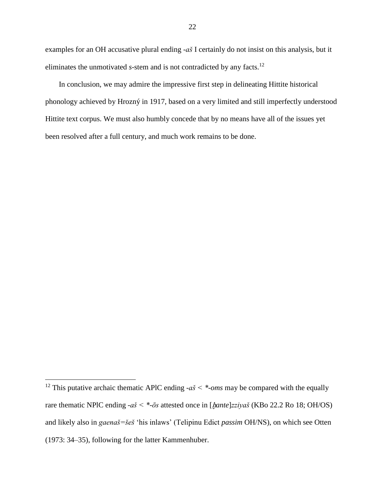examples for an OH accusative plural ending *-aš* I certainly do not insist on this analysis, but it eliminates the unmotivated *s*-stem and is not contradicted by any facts.<sup>12</sup>

In conclusion, we may admire the impressive first step in delineating Hittite historical phonology achieved by Hrozný in 1917, based on a very limited and still imperfectly understood Hittite text corpus. We must also humbly concede that by no means have all of the issues yet been resolved after a full century, and much work remains to be done.

<sup>&</sup>lt;sup>12</sup> This putative archaic thematic APIC ending  $-a\check{s} < *$ -*oms* may be compared with the equally rare thematic NPlC ending *-aš < \*-ōs* attested once in [ḫ*ante*]*zziyaš* (KBo 22.2 Ro 18; OH/OS) and likely also in *gaenaš=šeš* 'his inlaws' (Telipinu Edict *passim* OH/NS), on which see Otten (1973: 34–35), following for the latter Kammenhuber.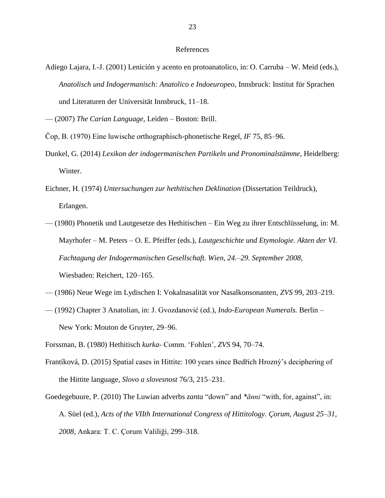#### References

- Adiego Lajara, I.-J. (2001) Lenición y acento en protoanatolico, in: O. Carruba W. Meid (eds.), *Anatolisch und Indogermanisch: Anatolico e Indoeuropeo*, Innsbruck: Institut für Sprachen und Literaturen der Universität Innsbruck, 11–18.
- (2007) *The Carian Language*, Leiden Boston: Brill.
- Čop, B. (1970) Eine luwische orthographisch-phonetische Regel, *IF* 75, 85–96.
- Dunkel, G. (2014) *Lexikon der indogermanischen Partikeln und Pronominalstämme*, Heidelberg: Winter.
- Eichner, H. (1974) *Untersuchungen zur hethitischen Deklination* (Dissertation Teildruck), Erlangen.
- (1980) Phonetik und Lautgesetze des Hethitischen Ein Weg zu ihrer Entschlüsselung, in: M. Mayrhofer – M. Peters – O. E. Pfeiffer (eds.), *Lautgeschichte und Etymologie. Akten der VI. Fachtagung der Indogermanischen Gesellschaft. Wien, 24.–29. September 2008*, Wiesbaden: Reichert, 120–165.
- (1986) Neue Wege im Lydischen I: Vokalnasalität vor Nasalkonsonanten, *ZVS* 99, 203–219.
- (1992) Chapter 3 Anatolian, in: J. Gvozdanović (ed.), *Indo-European Numerals.* Berlin New York: Mouton de Gruyter, 29–96.

- Frantíková, D. (2015) [Spatial cases in Hittite: 100 years since Bedřich Hrozný's deciphering of](http://sas.ujc.cas.cz/archiv.php?lang=en&art=4303)  [the Hittite language,](http://sas.ujc.cas.cz/archiv.php?lang=en&art=4303) *Slovo a slovesnost* 76/3, 215–231.
- Goedegebuure, P. (2010) The Luwian adverbs *zanta* "down" and *\*ānni* "with, for, against", in: A. Süel (ed.), *Acts of the VIIth International Congress of Hittitology. Çorum, August 25–31, 2008*, Ankara: T. C. Çorum Valiliği, 299–318.

Forssman, B. (1980) Hethitisch *kurka-* Comm. 'Fohlen', *ZVS* 94, 70–74.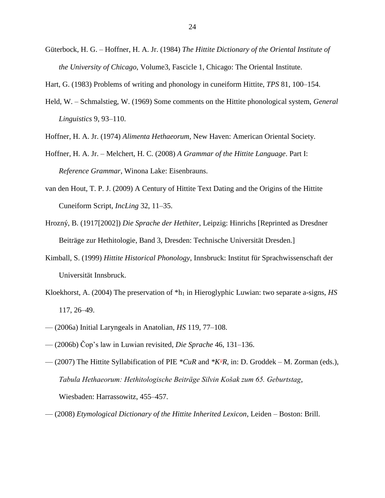Güterbock, H. G. – Hoffner, H. A. Jr. (1984) *The Hittite Dictionary of the Oriental Institute of the University of Chicago*, Volume3, Fascicle 1, Chicago: The Oriental Institute.

Hart, G. (1983) Problems of writing and phonology in cuneiform Hittite, *TPS* 81, 100–154.

- Held, W. Schmalstieg, W. (1969) Some comments on the Hittite phonological system, *General Linguistics* 9, 93–110.
- Hoffner, H. A. Jr. (1974) *Alimenta Hethaeorum*, New Haven: American Oriental Society.
- Hoffner, H. A. Jr. Melchert, H. C. (2008) *A Grammar of the Hittite Language*. Part I: *Reference Grammar*, Winona Lake: Eisenbrauns.
- van den Hout, T. P. J. (2009) A Century of Hittite Text Dating and the Origins of the Hittite Cuneiform Script, *IncLing* 32, 11–35.
- Hrozný, B. (1917[2002]) *Die Sprache der Hethiter*, Leipzig: Hinrichs [Reprinted as Dresdner Beiträge zur Hethitologie, Band 3, Dresden: Technische Universität Dresden.]
- Kimball, S. (1999) *Hittite Historical Phonology*, Innsbruck: Institut für Sprachwissenschaft der Universität Innsbruck.
- Kloekhorst, A. (2004) The preservation of  $*h_1$  in Hieroglyphic Luwian: two separate a-signs, *HS* 117, 26–49.
- (2006a) Initial Laryngeals in Anatolian, *HS* 119, 77–108.
- (2006b) Čop's law in Luwian revisited, *Die Sprache* 46, 131–136.
- (2007) The Hittite Syllabification of PIE \*CuR and \*K<sup>u</sup>R, in: D. Groddek M. Zorman (eds.), *Tabula Hethaeorum: Hethitologische Beiträge Silvin Košak zum 65. Geburtstag*, Wiesbaden: Harrassowitz, 455–457.
- (2008) *Etymological Dictionary of the Hittite Inherited Lexicon*, Leiden Boston: Brill.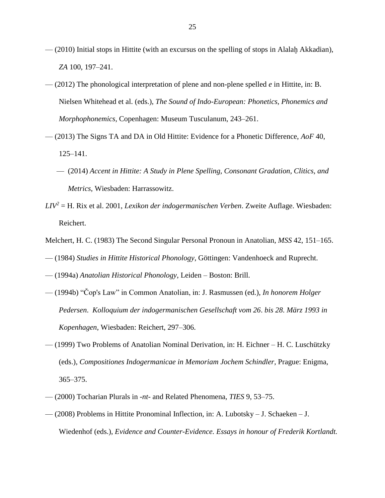- $-$  (2010) Initial stops in Hittite (with an excursus on the spelling of stops in Alalah Akkadian), *ZA* 100, 197–241.
- (2012) The phonological interpretation of plene and non-plene spelled *e* in Hittite, in: B. Nielsen Whitehead et al. (eds.), *The Sound of Indo-European: Phonetics, Phonemics and Morphophonemics*, Copenhagen: Museum Tusculanum, 243–261.
- (2013) The Signs TA and DA in Old Hittite: Evidence for a Phonetic Difference, *AoF* 40, 125–141.
	- (2014) *Accent in Hittite: A Study in Plene Spelling, Consonant Gradation, Clitics, and Metrics*, Wiesbaden: Harrassowitz.
- *LIV<sup>2</sup>* = H. Rix et al. 2001, *Lexikon der indogermanischen Verben*. Zweite Auflage. Wiesbaden: Reichert.
- Melchert, H. C. (1983) The Second Singular Personal Pronoun in Anatolian, *MSS* 42, 151–165.
- (1984) *Studies in Hittite Historical Phonology*, Göttingen: Vandenhoeck and Ruprecht.
- (1994a) *Anatolian Historical Phonology*, Leiden Boston: Brill.
- (1994b) "Čop's Law" in Common Anatolian, in: J. Rasmussen (ed.), *In honorem Holger Pedersen*. *Kolloquium der indogermanischen Gesellschaft vom 26*. *bis 28*. *März 1993 in Kopenhagen*, Wiesbaden: Reichert, 297–306.
- (1999) Two Problems of Anatolian Nominal Derivation, in: H. Eichner H. C. Luschützky (eds.), *Compositiones Indogermanicae in Memoriam Jochem Schindler*, Prague: Enigma, 365–375.
- (2000) Tocharian Plurals in *-nt-* and Related Phenomena, *TIES* 9, 53–75.
- (2008) Problems in Hittite Pronominal Inflection, in: A. Lubotsky J. Schaeken J. Wiedenhof (eds.), *Evidence and Counter-Evidence. Essays in honour of Frederik Kortlandt.*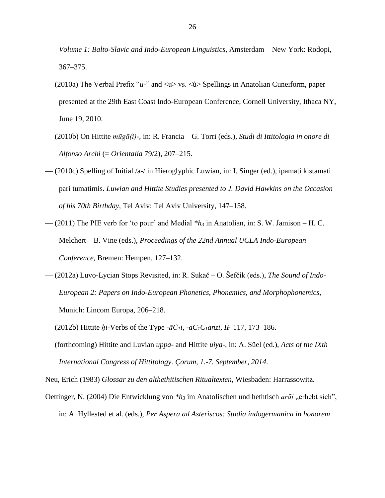*Volume 1: Balto-Slavic and Indo-European Linguistics*, Amsterdam – New York: Rodopi, 367–375.

- (2010a) The Verbal Prefix "*u-*" and <u> vs. <ú> Spellings in Anatolian Cuneiform, paper presented at the 29th East Coast Indo-European Conference, Cornell University, Ithaca NY, June 19, 2010.
- (2010b) On Hittite *mūgā(i)-*, in: R. Francia G. Torri (eds.), *Studi di Ittitologia in onore di Alfonso Archi* (= *Orientalia* 79/2), 207–215.
- (2010c) Spelling of Initial /a-/ in Hieroglyphic Luwian, in: I. Singer (ed.), ipamati kistamati pari tumatimis. *Luwian and Hittite Studies presented to J. David Hawkins on the Occasion of his 70th Birthday*, Tel Aviv: Tel Aviv University, 147–158.
- (2011) The PIE verb for 'to pour' and Medial *\*h<sup>3</sup>* in Anatolian, in: S. W. Jamison H. C. Melchert – B. Vine (eds.), *Proceedings of the 22nd Annual UCLA Indo-European Conference*, Bremen: Hempen, 127–132.
- (2012a) Luvo-Lycian Stops Revisited, in: R. Sukač O. Šefčík (eds.), *The Sound of Indo-European 2: Papers on Indo-European Phonetics, Phonemics, and Morphophonemics*, Munich: Lincom Europa, 206–218.
- (2012b) Hittite *ḫi*-Verbs of the Type *-āC1i*, *-aC1C1anzi*, *IF* 117, 173–186.
- (forthcoming) Hittite and Luvian *uppa-* and Hittite *uiya-*, in: A. Süel (ed.), *Acts of the IXth International Congress of Hittitology. Çorum, 1.-7. September, 2014*.

Neu, Erich (1983) *Glossar zu den althethitischen Ritualtexten*, Wiesbaden: Harrassowitz.

Oettinger, N. (2004) Die Entwicklung von *\*h<sub>3</sub>* im Anatolischen und hethtisch *arāi* "erhebt sich", in: A. Hyllested et al. (eds.), *Per Aspera ad Asteriscos: Studia indogermanica in honorem*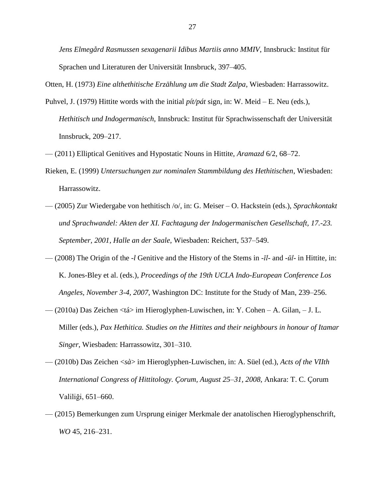*Jens Elmegård Rasmussen sexagenarii Idibus Martiis anno MMIV*, Innsbruck: Institut für Sprachen und Literaturen der Universität Innsbruck, 397–405.

Otten, H. (1973) *Eine althethitische Erzählung um die Stadt Zalpa*, Wiesbaden: Harrassowitz.

- Puhvel, J. (1979) Hittite words with the initial *pít/pát* sign, in: W. Meid E. Neu (eds.), *Hethitisch und Indogermanisch*, Innsbruck: Institut für Sprachwissenschaft der Universität Innsbruck, 209–217.
- (2011) Elliptical Genitives and Hypostatic Nouns in Hittite, *Aramazd* 6/2, 68–72.
- Rieken, E. (1999) *Untersuchungen zur nominalen Stammbildung des Hethitischen*, Wiesbaden: Harrassowitz.
- (2005) Zur Wiedergabe von hethitisch /o/, in: G. Meiser O. Hackstein (eds.), *Sprachkontakt und Sprachwandel: Akten der XI. Fachtagung der Indogermanischen Gesellschaft, 17.-23. September, 2001, Halle an der Saale*, Wiesbaden: Reichert, 537–549.
- (2008) The Origin of the *-l* Genitive and the History of the Stems in *-īl-* and *-ūl-* in Hittite, in: K. Jones-Bley et al. (eds.), *Proceedings of the 19th UCLA Indo-European Conference Los Angeles, November 3-4, 2007*, Washington DC: Institute for the Study of Man, 239–256.
- (2010a) Das Zeichen <tá> im Hieroglyphen-Luwischen, in: Y. Cohen A. Gilan, J. L. Miller (eds.), *Pax Hethitica. Studies on the Hittites and their neighbours in honour of Itamar Singer*, Wiesbaden: Harrassowitz, 301–310.
- (2010b) Das Zeichen <*sà*> im Hieroglyphen-Luwischen, in: A. Süel (ed.), *Acts of the VIIth International Congress of Hittitology. Çorum, August 25–31, 2008*, Ankara: T. C. Çorum Valiliği, 651–660.
- (2015) Bemerkungen zum Ursprung einiger Merkmale der anatolischen Hieroglyphenschrift, *WO* 45, 216–231.